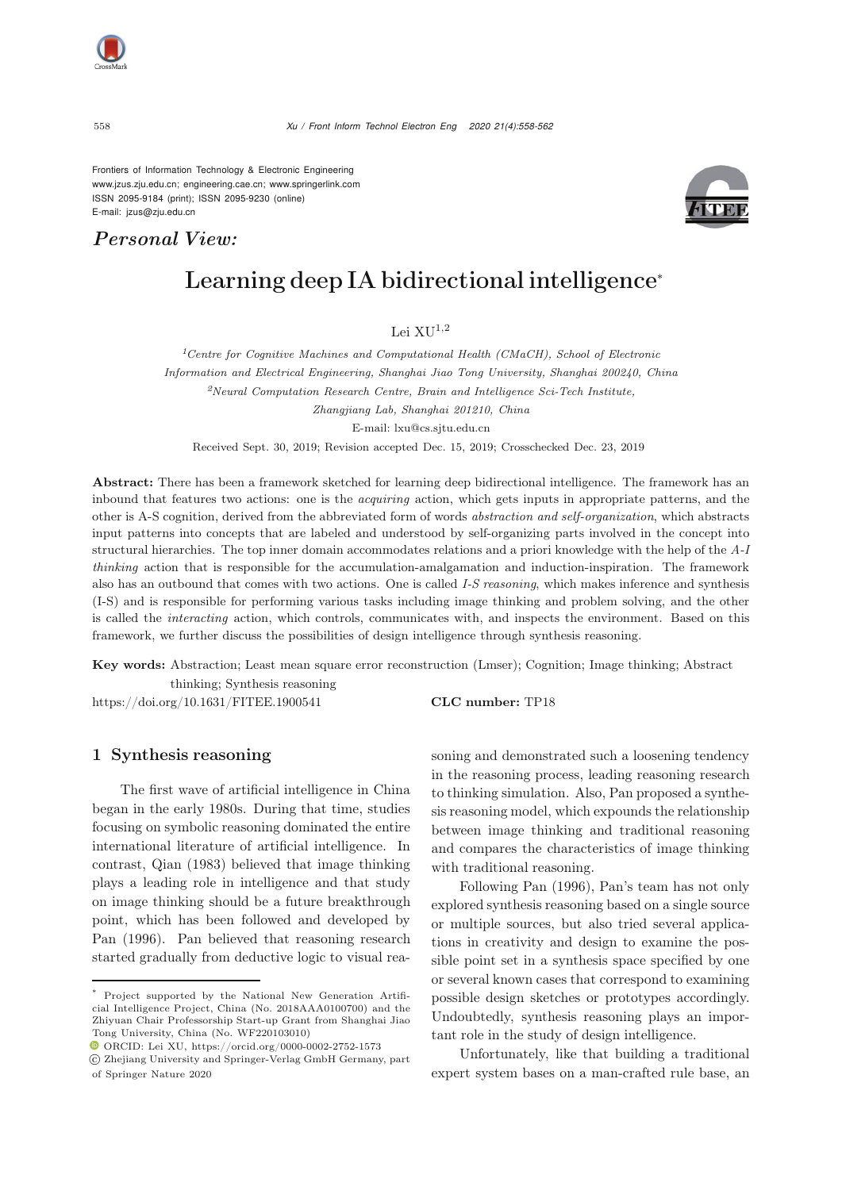Frontiers of Information Technology & Electronic Engineering [www.jzus.zju.edu.cn;](www.jzus.zju.edu.cn) [engineering.cae.cn;](engineering.cae.cn)<www.springerlink.com> ISSN 2095-9184 (print); ISSN 2095-9230 (online) E-mail: jzus@zju.edu.cn

# *Personal View:*



# Learning deep IA bidirectional intelligence<sup>∗</sup>

Lei  $XU^{1,2}$ 

*<sup>1</sup>Centre for Cognitive Machines and Computational Health (CMaCH), School of Electronic Information and Electrical Engineering, Shanghai Jiao Tong University, Shanghai 200240, China <sup>2</sup>Neural Computation Research Centre, Brain and Intelligence Sci-Tech Institute, Zhangjiang Lab, Shanghai 201210, China* E-mail: lxu@cs.sjtu.edu.cn

Received Sept. 30, 2019; Revision accepted Dec. 15, 2019; Crosschecked Dec. 23, 2019

Abstract: There has been a framework sketched for learning deep bidirectional intelligence. The framework has an inbound that features two actions: one is the *acquiring* action, which gets inputs in appropriate patterns, and the other is A-S cognition, derived from the abbreviated form of words *abstraction and self-organization*, which abstracts input patterns into concepts that are labeled and understood by self-organizing parts involved in the concept into structural hierarchies. The top inner domain accommodates relations and a priori knowledge with the help of the *A-I thinking* action that is responsible for the accumulation-amalgamation and induction-inspiration. The framework also has an outbound that comes with two actions. One is called *I-S reasoning*, which makes inference and synthesis (I-S) and is responsible for performing various tasks including image thinking and problem solving, and the other is called the *interacting* action, which controls, communicates with, and inspects the environment. Based on this framework, we further discuss the possibilities of design intelligence through synthesis reasoning.

Key words: Abstraction; Least mean square error reconstruction (Lmser); Cognition; Image thinking; Abstract thinking; Synthesis reasoning

https://doi.org/10.1631/FITEE.1900541 **CLC number:** TP18

# 1 Synthesis reasoning

The first wave of artificial intelligence in China began in the early 1980s. During that time, studies focusing on symbolic reasoning dominated the entire international literature of artificial intelligence. In contrast, [Qian](#page-4-0) [\(1983](#page-4-0)) believed that image thinking plays a leading role in intelligence and that study on image thinking should be a future breakthrough point, which has been followed and developed by [Pan](#page-4-1) [\(1996\)](#page-4-1). Pan believed that reasoning research started gradually from deductive logic to visual reasoning and demonstrated such a loosening tendency in the reasoning process, leading reasoning research to thinking simulation. Also, Pan proposed a synthesis reasoning model, which expounds the relationship between image thinking and traditional reasoning and compares the characteristics of image thinking with traditional reasoning.

Following [Pan](#page-4-1) [\(1996](#page-4-1)), Pan's team has not only explored synthesis reasoning based on a single source or multiple sources, but also tried several applications in creativity and design to examine the possible point set in a synthesis space specified by one or several known cases that correspond to examining possible design sketches or prototypes accordingly. Undoubtedly, synthesis reasoning plays an important role in the study of design intelligence.

Unfortunately, like that building a traditional expert system bases on a man-crafted rule base, an

Project supported by the National New Generation Artificial Intelligence Project, China (No. 2018AAA0100700) and the Zhiyuan Chair Professorship Start-up Grant from Shanghai Jiao Tong University, China (No. WF220103010)

 $\textcolor{blue}{\bullet}$  ORCID: Lei XU, https://orcid.org/0000-0002-2752-1573

c Zhejiang University and Springer-Verlag GmbH Germany, part of Springer Nature 2020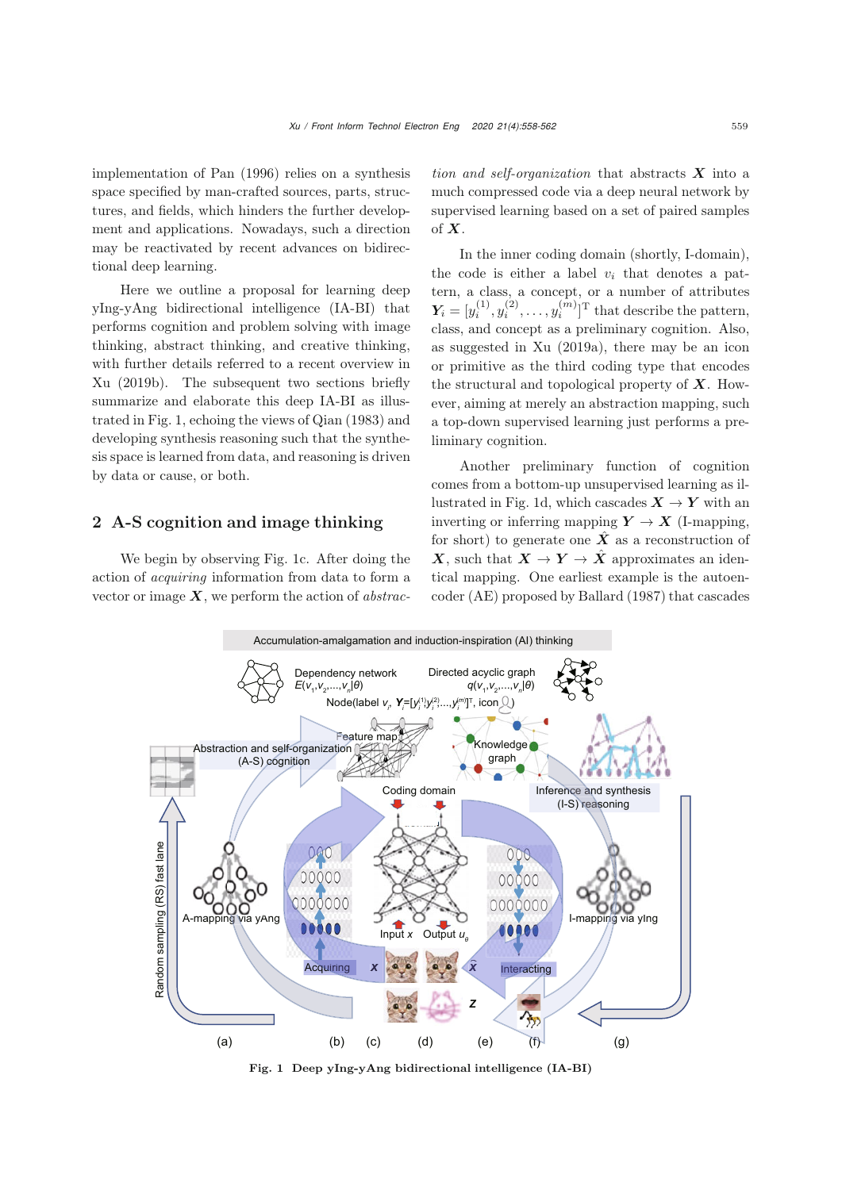implementation of [Pan](#page-4-1) [\(1996\)](#page-4-1) relies on a synthesis space specified by man-crafted sources, parts, structures, and fields, which hinders the further development and applications. Nowadays, such a direction may be reactivated by recent advances on bidirectional deep learning.

Here we outline a proposal for learning deep yIng-yAng bidirectional intelligence (IA-BI) that performs cognition and problem solving with image thinking, abstract thinking, and creative thinking, with further details referred to a recent overview in [Xu](#page-4-2) [\(2019b\)](#page-4-2). The subsequent two sections briefly summarize and elaborate this deep IA-BI as illustrated in Fig. [1,](#page-1-0) echoing the views of [Qian](#page-4-0) [\(1983](#page-4-0)) and developing synthesis reasoning such that the synthesis space is learned from data, and reasoning is driven by data or cause, or both.

## 2 A-S cognition and image thinking

We begin by observing Fig. [1c](#page-1-0). After doing the action of *acquiring* information from data to form a vector or image *X*, we perform the action of *abstrac-* *tion and self-organization* that abstracts *X* into a much compressed code via a deep neural network by supervised learning based on a set of paired samples of *X*.

In the inner coding domain (shortly, I-domain), the code is either a label  $v_i$  that denotes a pattern, a class, a concept, or a number of attributes  $Y_i = [y_i^{(1)}, y_i^{(2)}, \dots, y_i^{(m)}]$ <sup>T</sup> that describe the pattern, class, and concept as a preliminary cognition. Also, as suggested in [Xu](#page-4-3) [\(2019a](#page-4-3)), there may be an icon or primitive as the third coding type that encodes the structural and topological property of *X*. However, aiming at merely an abstraction mapping, such a top-down supervised learning just performs a preliminary cognition.

Another preliminary function of cognition comes from a bottom-up unsupervised learning as il-lustrated in Fig. [1d](#page-1-0), which cascades  $X \to Y$  with an inverting or inferring mapping  $Y \to X$  (I-mapping, for short) to generate one  $\hat{X}$  as a reconstruction of *X*, such that  $X \to Y \to \hat{X}$  approximates an identical mapping. One earliest example is the autoencoder (AE) proposed by [Ballard](#page-4-4) [\(1987](#page-4-4)) that cascades



<span id="page-1-0"></span>Fig. 1 Deep yIng-yAng bidirectional intelligence (IA-BI)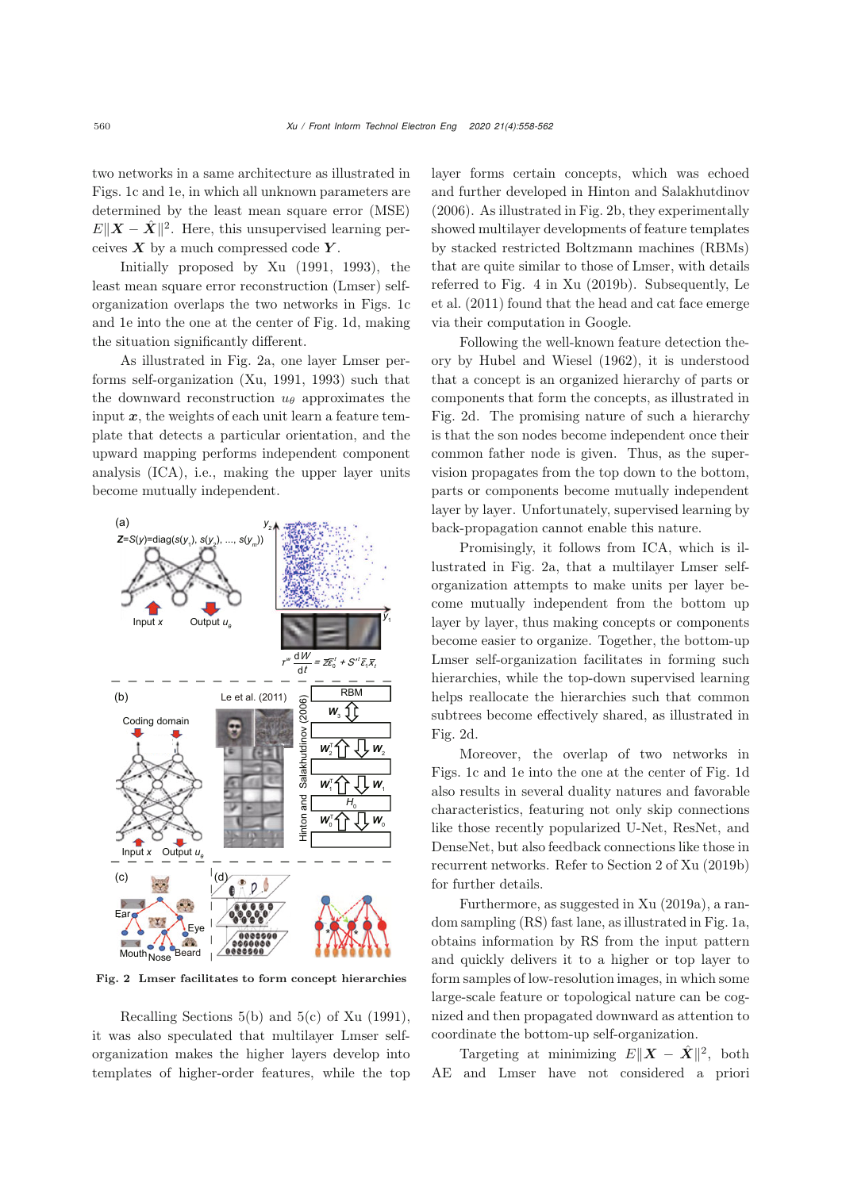two networks in a same architecture as illustrated in Figs. [1c](#page-1-0) and [1e](#page-1-0), in which all unknown parameters are determined by the least mean square error (MSE)  $E\|\boldsymbol{X}-\hat{\boldsymbol{X}}\|^2$ . Here, this unsupervised learning perceives  $X$  by a much compressed code  $Y$ .

Initially proposed by [Xu](#page-4-5) [\(1991,](#page-4-5) [1993](#page-4-6)), the least mean square error reconstruction (Lmser) selforganization overlaps the two networks in Figs. [1c](#page-1-0) and [1e](#page-1-0) into the one at the center of Fig. [1d](#page-1-0), making the situation significantly different.

As illustrated in Fig. [2a](#page-2-0), one layer Lmser performs self-organization [\(Xu](#page-4-5), [1991](#page-4-5), [1993](#page-4-6)) such that the downward reconstruction  $u_{\theta}$  approximates the input  $x$ , the weights of each unit learn a feature template that detects a particular orientation, and the upward mapping performs independent component analysis (ICA), i.e., making the upper layer units become mutually independent.



<span id="page-2-0"></span>Fig. 2 Lmser facilitates to form concept hierarchies

Recalling Sections 5(b) and 5(c) of [Xu](#page-4-5) [\(1991\)](#page-4-5), it was also speculated that multilayer Lmser selforganization makes the higher layers develop into templates of higher-order features, while the top layer forms certain concepts, which was echoed and further developed in [Hinton and Salakhutdinov](#page-4-7) [\(2006](#page-4-7)). As illustrated in Fig. [2b](#page-2-0), they experimentally showed multilayer developments of feature templates by stacked restricted Boltzmann machines (RBMs) that are quite similar to those of Lmser, with details refer[red](#page-4-8) [to](#page-4-8) [Fig.](#page-4-8) [4](#page-4-8) [in](#page-4-8) [Xu](#page-4-2) [\(2019b](#page-4-2)[\).](#page-4-8) [Subsequently,](#page-4-8) Le et al. [\(2011\)](#page-4-8) found that the head and cat face emerge via their computation in Google.

Following the well-known feature detection theory by [Hubel and Wiesel](#page-4-9) [\(1962](#page-4-9)), it is understood that a concept is an organized hierarchy of parts or components that form the concepts, as illustrated in Fig. [2d](#page-2-0). The promising nature of such a hierarchy is that the son nodes become independent once their common father node is given. Thus, as the supervision propagates from the top down to the bottom, parts or components become mutually independent layer by layer. Unfortunately, supervised learning by back-propagation cannot enable this nature.

Promisingly, it follows from ICA, which is illustrated in Fig. [2a](#page-2-0), that a multilayer Lmser selforganization attempts to make units per layer become mutually independent from the bottom up layer by layer, thus making concepts or components become easier to organize. Together, the bottom-up Lmser self-organization facilitates in forming such hierarchies, while the top-down supervised learning helps reallocate the hierarchies such that common subtrees become effectively shared, as illustrated in Fig. [2d](#page-2-0).

Moreover, the overlap of two networks in Figs. [1c](#page-1-0) and [1e](#page-1-0) into the one at the center of Fig. [1d](#page-1-0) also results in several duality natures and favorable characteristics, featuring not only skip connections like those recently popularized U-Net, ResNet, and DenseNet, but also feedback connections like those in recurrent networks. Refer to Section 2 of [Xu](#page-4-2) [\(2019b](#page-4-2)) for further details.

Furthermore, as suggested in [Xu](#page-4-3) [\(2019a\)](#page-4-3), a random sampling (RS) fast lane, as illustrated in Fig. [1a](#page-1-0), obtains information by RS from the input pattern and quickly delivers it to a higher or top layer to form samples of low-resolution images, in which some large-scale feature or topological nature can be cognized and then propagated downward as attention to coordinate the bottom-up self-organization.

Targeting at minimizing  $E||\boldsymbol{X} - \hat{\boldsymbol{X}}||^2$ , both AE and Lmser have not considered a priori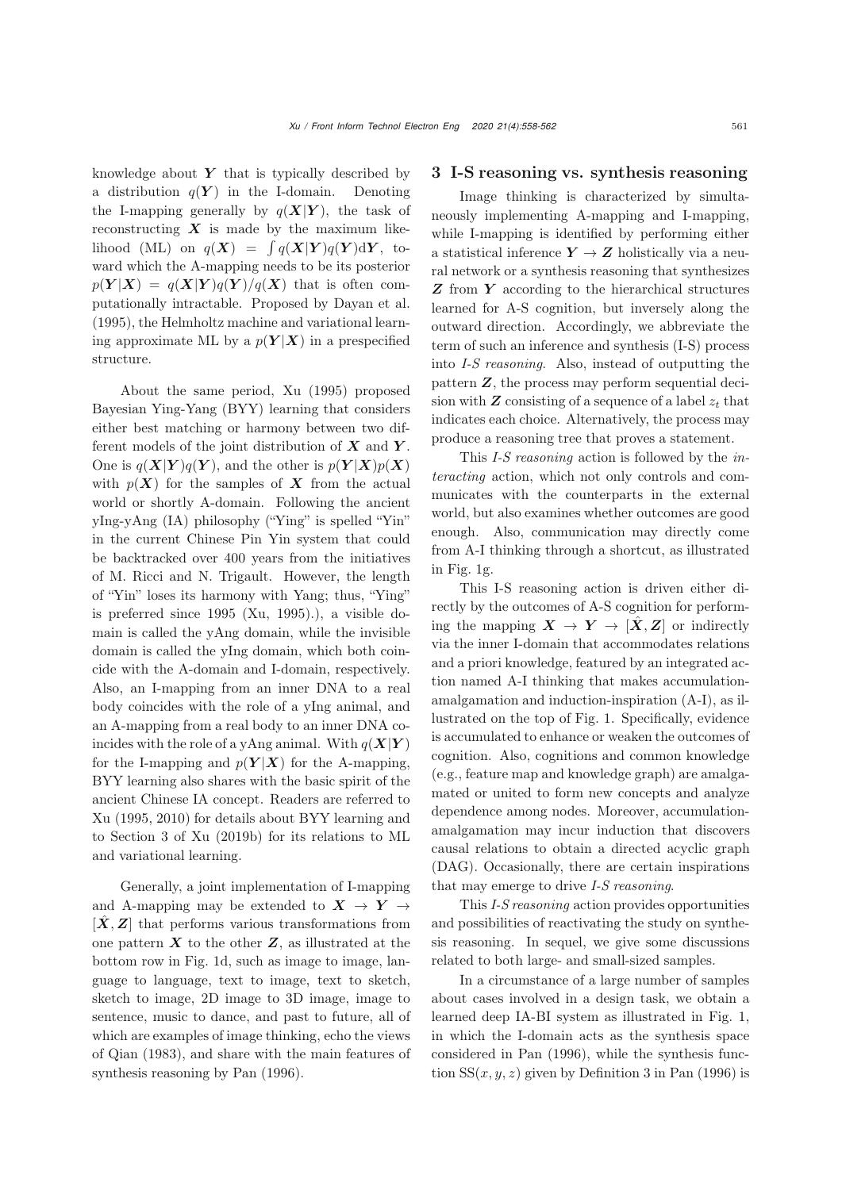knowledge about  $Y$  that is typically described by a distribution  $q(Y)$  in the I-domain. Denoting the I-mapping generally by  $q(X|Y)$ , the task of reconstructing  $\boldsymbol{X}$  is made by the maximum like- $\text{lihood (ML) on } q(\boldsymbol{X}) = \int q(\boldsymbol{X}|\boldsymbol{Y})q(\boldsymbol{Y})d\boldsymbol{Y}, \text{ to-}$ ward which the A-mapping needs to be its posterior  $p(Y|X) = q(X|Y)q(Y)/q(X)$  that is often computationally intractable. Proposed by [Dayan et al.](#page-4-10) [\(1995](#page-4-10)), the Helmholtz machine and variational learning approximate ML by a  $p(Y|X)$  in a prespecified structure.

About the same period, [Xu](#page-4-11) [\(1995](#page-4-11)) proposed Bayesian Ying-Yang (BYY) learning that considers either best matching or harmony between two different models of the joint distribution of *X* and *Y* . One is  $q(X|Y)q(Y)$ , and the other is  $p(Y|X)p(X)$ with  $p(X)$  for the samples of X from the actual world or shortly A-domain. Following the ancient yIng-yAng (IA) philosophy ("Ying" is spelled "Yin" in the current Chinese Pin Yin system that could be backtracked over 400 years from the initiatives of M. Ricci and N. Trigault. However, the length of "Yin" loses its harmony with Yang; thus, "Ying" is preferred since 1995 [\(Xu](#page-4-11), [1995\)](#page-4-11).), a visible domain is called the yAng domain, while the invisible domain is called the yIng domain, which both coincide with the A-domain and I-domain, respectively. Also, an I-mapping from an inner DNA to a real body coincides with the role of a yIng animal, and an A-mapping from a real body to an inner DNA coincides with the role of a yAng animal. With  $q(X|Y)$ for the I-mapping and  $p(Y|X)$  for the A-mapping, BYY learning also shares with the basic spirit of the ancient Chinese IA concept. Readers are referred to [Xu](#page-4-11) [\(1995](#page-4-11), [2010\)](#page-4-12) for details about BYY learning and to Section 3 of [Xu](#page-4-2) [\(2019b\)](#page-4-2) for its relations to ML and variational learning.

Generally, a joint implementation of I-mapping and A-mapping may be extended to  $X \to Y \to$  $[X, Z]$  that performs various transformations from one pattern  $\boldsymbol{X}$  to the other  $\boldsymbol{Z}$ , as illustrated at the bottom row in Fig. [1d](#page-1-0), such as image to image, language to language, text to image, text to sketch, sketch to image, 2D image to 3D image, image to sentence, music to dance, and past to future, all of which are examples of image thinking, echo the views of [Qian](#page-4-0) [\(1983\)](#page-4-0), and share with the main features of synthesis reasoning by [Pan](#page-4-1) [\(1996\)](#page-4-1).

### 3 I-S reasoning vs. synthesis reasoning

Image thinking is characterized by simultaneously implementing A-mapping and I-mapping, while I-mapping is identified by performing either a statistical inference  $Y \to Z$  holistically via a neural network or a synthesis reasoning that synthesizes *Z* from *Y* according to the hierarchical structures learned for A-S cognition, but inversely along the outward direction. Accordingly, we abbreviate the term of such an inference and synthesis (I-S) process into *I-S reasoning*. Also, instead of outputting the pattern *Z*, the process may perform sequential decision with  $Z$  consisting of a sequence of a label  $z_t$  that indicates each choice. Alternatively, the process may produce a reasoning tree that proves a statement.

This *I-S reasoning* action is followed by the *interacting* action, which not only controls and communicates with the counterparts in the external world, but also examines whether outcomes are good enough. Also, communication may directly come from A-I thinking through a shortcut, as illustrated in Fig. [1g](#page-1-0).

This I-S reasoning action is driven either directly by the outcomes of A-S cognition for performing the mapping  $X \to Y \to [\hat{X}, Z]$  or indirectly via the inner I-domain that accommodates relations and a priori knowledge, featured by an integrated action named A-I thinking that makes accumulationamalgamation and induction-inspiration (A-I), as illustrated on the top of Fig. [1.](#page-1-0) Specifically, evidence is accumulated to enhance or weaken the outcomes of cognition. Also, cognitions and common knowledge (e.g., feature map and knowledge graph) are amalgamated or united to form new concepts and analyze dependence among nodes. Moreover, accumulationamalgamation may incur induction that discovers causal relations to obtain a directed acyclic graph (DAG). Occasionally, there are certain inspirations that may emerge to drive *I-S reasoning*.

This *I-S reasoning* action provides opportunities and possibilities of reactivating the study on synthesis reasoning. In sequel, we give some discussions related to both large- and small-sized samples.

In a circumstance of a large number of samples about cases involved in a design task, we obtain a learned deep IA-BI system as illustrated in Fig. [1,](#page-1-0) in which the I-domain acts as the synthesis space considered in [Pan](#page-4-1) [\(1996](#page-4-1)), while the synthesis function  $SS(x, y, z)$  given by Definition 3 in [Pan](#page-4-1) [\(1996](#page-4-1)) is